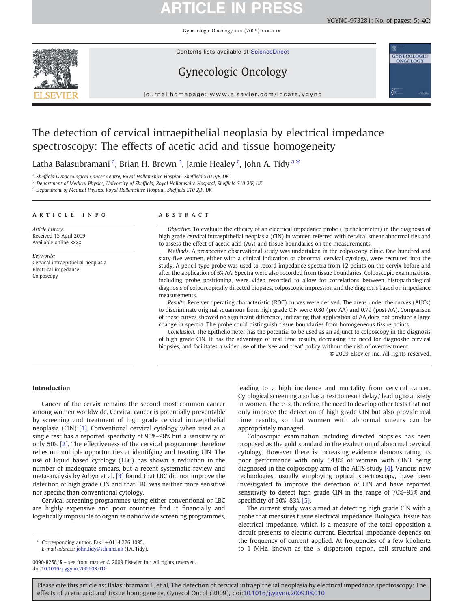Gynecologic Oncology xxx (2009) xxx–xxx



Contents lists available at ScienceDirect

### Gynecologic Oncology



GYNECOLOGIC<br>ONCOLOGY

journal homepage: www.elsevier.com/locate/ygyno

### The detection of cervical intraepithelial neoplasia by electrical impedance spectroscopy: The effects of acetic acid and tissue homogeneity

Latha Balasubramani <sup>a</sup>, Brian H. Brown <sup>b</sup>, Jamie Healey <sup>c</sup>, John A. Tidy <sup>a,\*</sup>

<sup>a</sup> Sheffield Gynaecological Cancer Centre, Royal Hallamshire Hospital, Sheffield S10 2JF, UK

<sup>b</sup> Department of Medical Physics, University of Sheffield, Royal Hallamshire Hospital, Sheffield S10 2JF, UK

<sup>c</sup> Department of Medical Physics, Royal Hallamshire Hospital, Sheffield S10 2JF, UK

#### article info abstract

Article history: Received 15 April 2009 Available online xxxx

Keywords: Cervical intraepithelial neoplasia Electrical impedance Colposcopy

Objective. To evaluate the efficacy of an electrical impedance probe (Epitheliometer) in the diagnosis of high grade cervical intraepithelial neoplasia (CIN) in women referred with cervical smear abnormalities and to assess the effect of acetic acid (AA) and tissue boundaries on the measurements.

Methods. A prospective observational study was undertaken in the colposcopy clinic. One hundred and sixty-five women, either with a clinical indication or abnormal cervical cytology, were recruited into the study. A pencil type probe was used to record impedance spectra from 12 points on the cervix before and after the application of 5% AA. Spectra were also recorded from tissue boundaries. Colposcopic examinations, including probe positioning, were video recorded to allow for correlations between histopathological diagnosis of colposcopically directed biopsies, colposcopic impression and the diagnosis based on impedance measurements.

Results. Receiver operating characteristic (ROC) curves were derived. The areas under the curves (AUCs) to discriminate original squamous from high grade CIN were 0.80 (pre AA) and 0.79 (post AA). Comparison of these curves showed no significant difference, indicating that application of AA does not produce a large change in spectra. The probe could distinguish tissue boundaries from homogeneous tissue points.

Conclusion. The Epitheliometer has the potential to be used as an adjunct to colposcopy in the diagnosis of high grade CIN. It has the advantage of real time results, decreasing the need for diagnostic cervical biopsies, and facilitates a wider use of the 'see and treat' policy without the risk of overtreatment.

© 2009 Elsevier Inc. All rights reserved.

### Introduction

Cancer of the cervix remains the second most common cancer among women worldwide. Cervical cancer is potentially preventable by screening and treatment of high grade cervical intraepithelial neoplasia (CIN) [\[1\]](#page-4-0). Conventional cervical cytology when used as a single test has a reported specificity of 95%–98% but a sensitivity of only 50% [\[2\]](#page-4-0). The effectiveness of the cervical programme therefore relies on multiple opportunities at identifying and treating CIN. The use of liquid based cytology (LBC) has shown a reduction in the number of inadequate smears, but a recent systematic review and meta-analysis by Arbyn et al. [\[3\]](#page-4-0) found that LBC did not improve the detection of high grade CIN and that LBC was neither more sensitive nor specific than conventional cytology.

Cervical screening programmes using either conventional or LBC are highly expensive and poor countries find it financially and logistically impossible to organise nationwide screening programmes,

leading to a high incidence and mortality from cervical cancer. Cytological screening also has a 'test to result delay,' leading to anxiety in women. There is, therefore, the need to develop other tests that not only improve the detection of high grade CIN but also provide real time results, so that women with abnormal smears can be appropriately managed.

Colposcopic examination including directed biopsies has been proposed as the gold standard in the evaluation of abnormal cervical cytology. However there is increasing evidence demonstrating its poor performance with only 54.8% of women with CIN3 being diagnosed in the colposcopy arm of the ALTS study [\[4\]](#page-4-0). Various new technologies, usually employing optical spectroscopy, have been investigated to improve the detection of CIN and have reported sensitivity to detect high grade CIN in the range of 70%–95% and specificity of 50%–83% [\[5\].](#page-4-0)

The current study was aimed at detecting high grade CIN with a probe that measures tissue electrical impedance. Biological tissue has electrical impedance, which is a measure of the total opposition a circuit presents to electric current. Electrical impedance depends on the frequency of current applied. At frequencies of a few kilohertz to 1 MHz, known as the β dispersion region, cell structure and

Please cite this article as: Balasubramani L, et al, The detection of cervical intraepithelial neoplasia by electrical impedance spectroscopy: The effects of acetic acid and tissue homogeneity, Gynecol Oncol (2009), doi[:10.1016/j.ygyno.2009.08.010](http://dx.doi.org/10.1016/j.ygyno.2009.08.010)

Corresponding author. Fax:  $+0114226$  1095. E-mail address: [john.tidy@sth.nhs.uk](mailto:john.tidy@sth.nhs.uk) (J.A. Tidy).

<sup>0090-8258/\$</sup> – see front matter © 2009 Elsevier Inc. All rights reserved. doi:[10.1016/j.ygyno.2009.08.010](http://dx.doi.org/10.1016/j.ygyno.2009.08.010)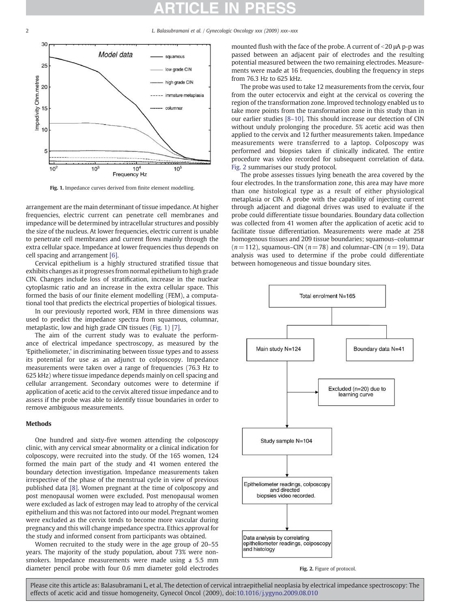2 L. Balasubramani et al. / Gynecologic Oncology xxx (2009) xxx–xxx



Fig. 1. Impedance curves derived from finite element modelling.

arrangement are the main determinant of tissue impedance. At higher frequencies, electric current can penetrate cell membranes and impedance will be determined by intracellular structures and possibly the size of the nucleus. At lower frequencies, electric current is unable to penetrate cell membranes and current flows mainly through the extra cellular space. Impedance at lower frequencies thus depends on cell spacing and arrangement [\[6\].](#page-4-0)

Cervical epithelium is a highly structured stratified tissue that exhibits changes as it progresses from normal epithelium to high grade CIN. Changes include loss of stratification, increase in the nuclear cytoplasmic ratio and an increase in the extra cellular space. This formed the basis of our finite element modelling (FEM), a computational tool that predicts the electrical properties of biological tissues.

In our previously reported work, FEM in three dimensions was used to predict the impedance spectra from squamous, columnar, metaplastic, low and high grade CIN tissues (Fig. 1) [\[7\]](#page-4-0).

The aim of the current study was to evaluate the performance of electrical impedance spectroscopy, as measured by the 'Epitheliometer,' in discriminating between tissue types and to assess its potential for use as an adjunct to colposcopy. Impedance measurements were taken over a range of frequencies (76.3 Hz to 625 kHz) where tissue impedance depends mainly on cell spacing and cellular arrangement. Secondary outcomes were to determine if application of acetic acid to the cervix altered tissue impedance and to assess if the probe was able to identify tissue boundaries in order to remove ambiguous measurements.

#### Methods

One hundred and sixty-five women attending the colposcopy clinic, with any cervical smear abnormality or a clinical indication for colposcopy, were recruited into the study. Of the 165 women, 124 formed the main part of the study and 41 women entered the boundary detection investigation. Impedance measurements taken irrespective of the phase of the menstrual cycle in view of previous published data [\[8\]](#page-4-0). Women pregnant at the time of colposcopy and post menopausal women were excluded. Post menopausal women were excluded as lack of estrogen may lead to atrophy of the cervical epithelium and this was not factored into our model. Pregnant women were excluded as the cervix tends to become more vascular during pregnancy and this will change impedance spectra. Ethics approval for the study and informed consent from participants was obtained.

Women recruited to the study were in the age group of 20–55 years. The majority of the study population, about 73% were nonsmokers. Impedance measurements were made using a 5.5 mm diameter pencil probe with four 0.6 mm diameter gold electrodes mounted flush with the face of the probe. A current of  $<$ 20 μA p-p was passed between an adjacent pair of electrodes and the resulting potential measured between the two remaining electrodes. Measurements were made at 16 frequencies, doubling the frequency in steps from 76.3 Hz to 625 kHz.

The probe was used to take 12 measurements from the cervix, four from the outer ectocervix and eight at the cervical os covering the region of the transformation zone. Improved technology enabled us to take more points from the transformation zone in this study than in our earlier studies [8–[10\].](#page-4-0) This should increase our detection of CIN without unduly prolonging the procedure. 5% acetic acid was then applied to the cervix and 12 further measurements taken. Impedance measurements were transferred to a laptop. Colposcopy was performed and biopsies taken if clinically indicated. The entire procedure was video recorded for subsequent correlation of data. Fig. 2 summarises our study protocol.

The probe assesses tissues lying beneath the area covered by the four electrodes. In the transformation zone, this area may have more than one histological type as a result of either physiological metaplasia or CIN. A probe with the capability of injecting current through adjacent and diagonal drives was used to evaluate if the probe could differentiate tissue boundaries. Boundary data collection was collected from 41 women after the application of acetic acid to facilitate tissue differentiation. Measurements were made at 258 homogenous tissues and 209 tissue boundaries; squamous–columnar  $(n= 112)$ , squamous–CIN  $(n= 78)$  and columnar–CIN  $(n= 19)$ . Data analysis was used to determine if the probe could differentiate between homogeneous and tissue boundary sites.



Fig. 2. Figure of protocol.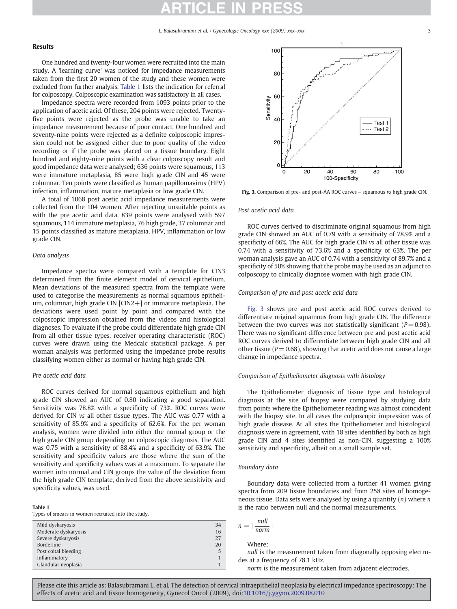L. Balasubramani et al. / Gynecologic Oncology xxx (2009) xxx-xxx

#### Results

One hundred and twenty-four women were recruited into the main study. A 'learning curve' was noticed for impedance measurements taken from the first 20 women of the study and these women were excluded from further analysis. Table 1 lists the indication for referral for colposcopy. Colposcopic examination was satisfactory in all cases.

Impedance spectra were recorded from 1093 points prior to the application of acetic acid. Of these, 204 points were rejected. Twentyfive points were rejected as the probe was unable to take an impedance measurement because of poor contact. One hundred and seventy-nine points were rejected as a definite colposcopic impression could not be assigned either due to poor quality of the video recording or if the probe was placed on a tissue boundary. Eight hundred and eighty-nine points with a clear colposcopy result and good impedance data were analysed; 636 points were squamous, 113 were immature metaplasia, 85 were high grade CIN and 45 were columnar. Ten points were classified as human papillomavirus (HPV) infection, inflammation, mature metaplasia or low grade CIN.

A total of 1068 post acetic acid impedance measurements were collected from the 104 women. After rejecting unsuitable points as with the pre acetic acid data, 839 points were analysed with 597 squamous, 114 immature metaplasia, 76 high grade, 37 columnar and 15 points classified as mature metaplasia, HPV, inflammation or low grade CIN.

#### Data analysis

Impedance spectra were compared with a template for CIN3 determined from the finite element model of cervical epithelium. Mean deviations of the measured spectra from the template were used to categorise the measurements as normal squamous epithelium, columnar, high grade CIN [CIN2+] or immature metaplasia. The deviations were used point by point and compared with the colposcopic impression obtained from the videos and histological diagnoses. To evaluate if the probe could differentiate high grade CIN from all other tissue types, receiver operating characteristic (ROC) curves were drawn using the Medcalc statistical package. A per woman analysis was performed using the impedance probe results classifying women either as normal or having high grade CIN.

#### Pre acetic acid data

ROC curves derived for normal squamous epithelium and high grade CIN showed an AUC of 0.80 indicating a good separation. Sensitivity was 78.8% with a specificity of 73%. ROC curves were derived for CIN vs all other tissue types. The AUC was 0.77 with a sensitivity of 85.9% and a specificity of 62.6%. For the per woman analysis, women were divided into either the normal group or the high grade CIN group depending on colposcopic diagnosis. The AUC was 0.75 with a sensitivity of 88.4% and a specificity of 63.9%. The sensitivity and specificity values are those where the sum of the sensitivity and specificity values was at a maximum. To separate the women into normal and CIN groups the value of the deviation from the high grade CIN template, derived from the above sensitivity and specificity values, was used.

#### Table 1

Types of smears in women recruited into the study.

| Mild dyskaryosis     | 34 |
|----------------------|----|
| Moderate dyskaryosis | 16 |
| Severe dyskaryosis   | 27 |
| <b>Borderline</b>    | 20 |
| Post coital bleeding | 5  |
| Inflammatory         |    |
| Glandular neoplasia  |    |



Fig. 3. Comparison of pre- and post-AA ROC curves – squamous vs high grade CIN.

#### Post acetic acid data

ROC curves derived to discriminate original squamous from high grade CIN showed an AUC of 0.79 with a sensitivity of 78.9% and a specificity of 66%. The AUC for high grade CIN vs all other tissue was 0.74 with a sensitivity of 73.6% and a specificity of 63%. The per woman analysis gave an AUC of 0.74 with a sensitivity of 89.7% and a specificity of 50% showing that the probe may be used as an adjunct to colposcopy to clinically diagnose women with high grade CIN.

#### Comparison of pre and post acetic acid data

Fig. 3 shows pre and post acetic acid ROC curves derived to differentiate original squamous from high grade CIN. The difference between the two curves was not statistically significant ( $P = 0.98$ ). There was no significant difference between pre and post acetic acid ROC curves derived to differentiate between high grade CIN and all other tissue ( $P = 0.68$ ), showing that acetic acid does not cause a large change in impedance spectra.

#### Comparison of Epitheliometer diagnosis with histology

The Epitheliometer diagnosis of tissue type and histological diagnosis at the site of biopsy were compared by studying data from points where the Epitheliometer reading was almost coincident with the biopsy site. In all cases the colposcopic impression was of high grade disease. At all sites the Epitheliometer and histological diagnosis were in agreement, with 18 sites identified by both as high grade CIN and 4 sites identified as non-CIN, suggesting a 100% sensitivity and specificity, albeit on a small sample set.

#### Boundary data

Boundary data were collected from a further 41 women giving spectra from 209 tissue boundaries and from 258 sites of homogeneous tissue. Data sets were analysed by using a quantity  $(n)$  where n is the ratio between null and the normal measurements.

$$
n = |\frac{null}{norm}|
$$

Where:

null is the measurement taken from diagonally opposing electrodes at a frequency of 78.1 kHz.

norm is the measurement taken from adjacent electrodes.

Please cite this article as: Balasubramani L, et al, The detection of cervical intraepithelial neoplasia by electrical impedance spectroscopy: The effects of acetic acid and tissue homogeneity, Gynecol Oncol (2009), doi[:10.1016/j.ygyno.2009.08.010](http://dx.doi.org/10.1016/j.ygyno.2009.08.010)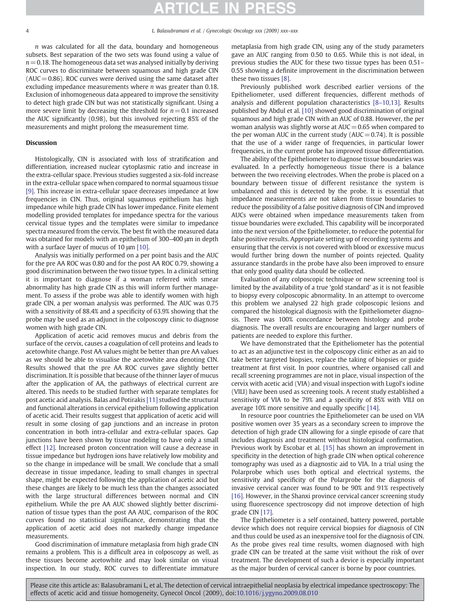$n$  was calculated for all the data, boundary and homogeneous subsets. Best separation of the two sets was found using a value of  $n = 0.18$ . The homogeneous data set was analysed initially by deriving ROC curves to discriminate between squamous and high grade CIN  $(AUC = 0.86)$ . ROC curves were derived using the same dataset after excluding impedance measurements where *n* was greater than 0.18. Exclusion of inhomogeneous data appeared to improve the sensitivity to detect high grade CIN but was not statistically significant. Using a more severe limit by decreasing the threshold for  $n = 0.1$  increased the AUC significantly (0.98), but this involved rejecting 85% of the measurements and might prolong the measurement time.

#### Discussion

Histologically, CIN is associated with loss of stratification and differentiation, increased nuclear cytoplasmic ratio and increase in the extra-cellular space. Previous studies suggested a six-fold increase in the extra-cellular space when compared to normal squamous tissue [\[9\].](#page-4-0) This increase in extra-cellular space decreases impedance at low frequencies in CIN. Thus, original squamous epithelium has high impedance while high grade CIN has lower impedance. Finite element modelling provided templates for impedance spectra for the various cervical tissue types and the templates were similar to impedance spectra measured from the cervix. The best fit with the measured data was obtained for models with an epithelium of 300–400 μm in depth with a surface layer of mucus of 10 μm [\[10\]](#page-4-0).

Analysis was initially performed on a per point basis and the AUC for the pre AA ROC was 0.80 and for the post AA ROC 0.79, showing a good discrimination between the two tissue types. In a clinical setting it is important to diagnose if a woman referred with smear abnormality has high grade CIN as this will inform further management. To assess if the probe was able to identify women with high grade CIN, a per woman analysis was performed. The AUC was 0.75 with a sensitivity of 88.4% and a specificity of 63.9% showing that the probe may be used as an adjunct in the colposcopy clinic to diagnose women with high grade CIN.

Application of acetic acid removes mucus and debris from the surface of the cervix, causes a coagulation of cell proteins and leads to acetowhite change. Post AA values might be better than pre AA values as we should be able to visualise the acetowhite area denoting CIN. Results showed that the pre AA ROC curves gave slightly better discrimination. It is possible that because of the thinner layer of mucus after the application of AA, the pathways of electrical current are altered. This needs to be studied further with separate templates for post acetic acid analysis. Balas and Potirakis [\[11\]](#page-4-0) studied the structural and functional alterations in cervical epithelium following application of acetic acid. Their results suggest that application of acetic acid will result in some closing of gap junctions and an increase in proton concentration in both intra-cellular and extra-cellular spaces. Gap junctions have been shown by tissue modeling to have only a small effect [\[12\].](#page-4-0) Increased proton concentration will cause a decrease in tissue impedance but hydrogen ions have relatively low mobility and so the change in impedance will be small. We conclude that a small decrease in tissue impedance, leading to small changes in spectral shape, might be expected following the application of acetic acid but these changes are likely to be much less than the changes associated with the large structural differences between normal and CIN epithelium. While the pre AA AUC showed slightly better discrimination of tissue types than the post AA AUC, comparison of the ROC curves found no statistical significance, demonstrating that the application of acetic acid does not markedly change impedance measurements.

Good discrimination of immature metaplasia from high grade CIN remains a problem. This is a difficult area in colposcopy as well, as these tissues become acetowhite and may look similar on visual inspection. In our study, ROC curves to differentiate immature metaplasia from high grade CIN, using any of the study parameters gave an AUC ranging from 0.50 to 0.65. While this is not ideal, in previous studies the AUC for these two tissue types has been 0.51– 0.55 showing a definite improvement in the discrimination between these two tissues [\[8\]](#page-4-0).

Previously published work described earlier versions of the Epitheliometer, used different frequencies, different methods of analysis and different population characteristics [8–[10,13\]](#page-4-0). Results published by Abdul et al. [\[10\]](#page-4-0) showed good discrimination of original squamous and high grade CIN with an AUC of 0.88. However, the per woman analysis was slightly worse at  $AUC = 0.65$  when compared to the per woman AUC in the current study  $(AUC = 0.74)$ . It is possible that the use of a wider range of frequencies, in particular lower frequencies, in the current probe has improved tissue differentiation.

The ability of the Epitheliometer to diagnose tissue boundaries was evaluated. In a perfectly homogeneous tissue there is a balance between the two receiving electrodes. When the probe is placed on a boundary between tissue of different resistance the system is unbalanced and this is detected by the probe. It is essential that impedance measurements are not taken from tissue boundaries to reduce the possibility of a false positive diagnosis of CIN and improved AUCs were obtained when impedance measurements taken from tissue boundaries were excluded. This capability will be incorporated into the next version of the Epitheliometer, to reduce the potential for false positive results. Appropriate setting up of recording systems and ensuring that the cervix is not covered with blood or excessive mucus would further bring down the number of points rejected. Quality assurance standards in the probe have also been improved to ensure that only good quality data should be collected.

Evaluation of any colposcopic technique or new screening tool is limited by the availability of a true 'gold standard' as it is not feasible to biopsy every colposcopic abnormality. In an attempt to overcome this problem we analysed 22 high grade colposcopic lesions and compared the histological diagnosis with the Epitheliometer diagnosis. There was 100% concordance between histology and probe diagnosis. The overall results are encouraging and larger numbers of patients are needed to explore this further.

We have demonstrated that the Epitheliometer has the potential to act as an adjunctive test in the colposcopy clinic either as an aid to take better targeted biopsies, replace the taking of biopsies or guide treatment at first visit. In poor countries, where organised call and recall screening programmes are not in place, visual inspection of the cervix with acetic acid (VIA) and visual inspection with Lugol's iodine (VILI) have been used as screening tools. A recent study established a sensitivity of VIA to be 79% and a specificity of 85% with VILI on average 10% more sensitive and equally specific [\[14\]](#page-4-0).

In resource poor countries the Epitheliometer can be used on VIA positive women over 35 years as a secondary screen to improve the detection of high grade CIN allowing for a single episode of care that includes diagnosis and treatment without histological confirmation. Previous work by Escobar et al. [\[15\]](#page-4-0) has shown an improvement in specificity in the detection of high grade CIN when optical coherence tomography was used as a diagnostic aid to VIA. In a trial using the Polarprobe which uses both optical and electrical systems, the sensitivity and specificity of the Polarprobe for the diagnosis of invasive cervical cancer was found to be 90% and 91% respectively [\[16\]](#page-4-0). However, in the Shanxi province cervical cancer screening study using fluorescence spectroscopy did not improve detection of high grade CIN [\[17\].](#page-4-0)

The Epitheliometer is a self contained, battery powered, portable device which does not require cervical biopsies for diagnosis of CIN and thus could be used as an inexpensive tool for the diagnosis of CIN. As the probe gives real time results, women diagnosed with high grade CIN can be treated at the same visit without the risk of over treatment. The development of such a device is especially important as the major burden of cervical cancer is borne by poor countries.

Please cite this article as: Balasubramani L, et al, The detection of cervical intraepithelial neoplasia by electrical impedance spectroscopy: The effects of acetic acid and tissue homogeneity, Gynecol Oncol (2009), doi[:10.1016/j.ygyno.2009.08.010](http://dx.doi.org/10.1016/j.ygyno.2009.08.010)